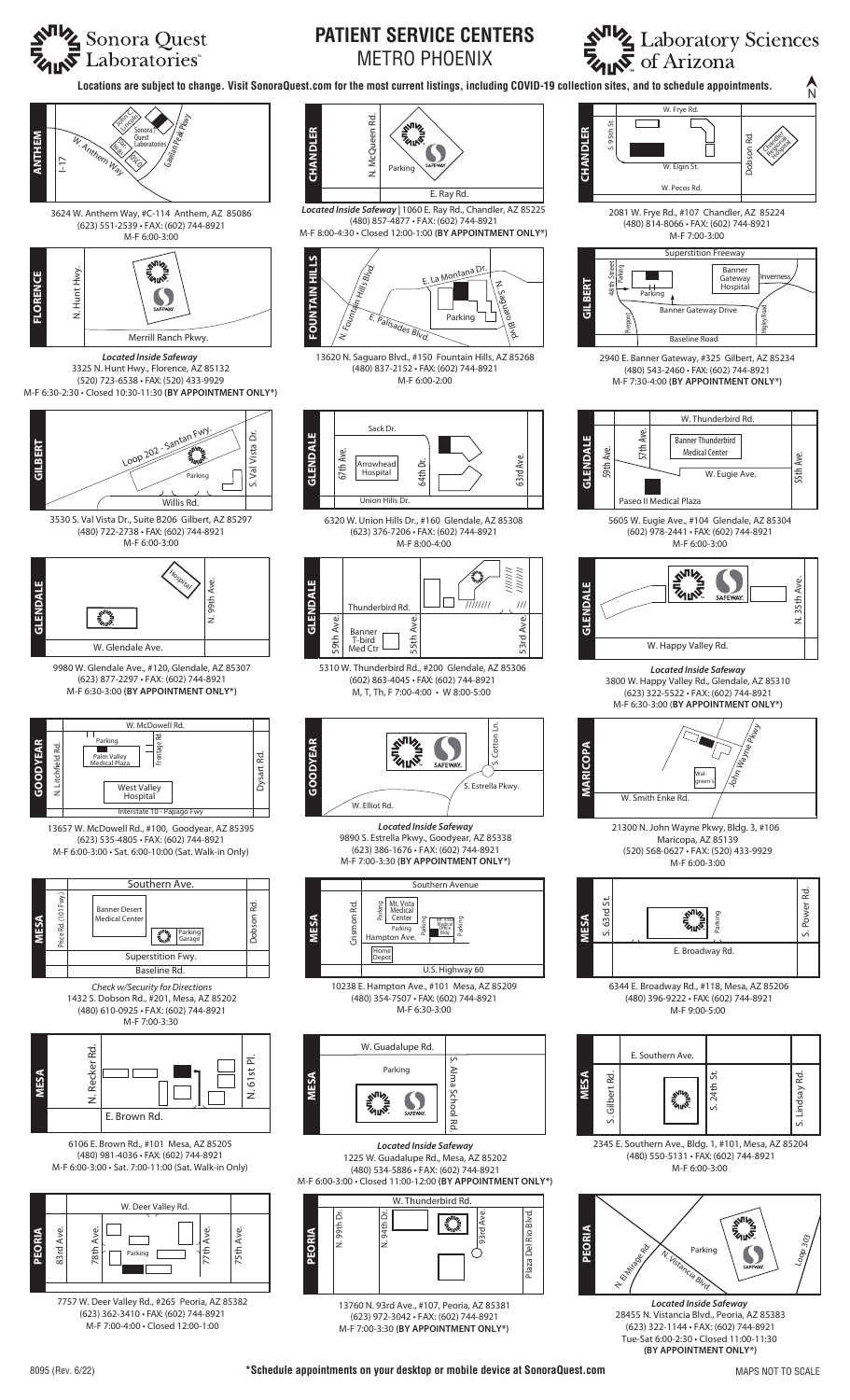**NIVE** Laboratory Sciences

N

Chandler<br>Chandler **Regional** Honga<br>Hospital

Inverness

 $5th$ 

N. 35th Ave.

35th Ave

E

S. Power Rd.

Power

78

S. Lindsay Rd.

Lindsay F

Rd.

Higley Road